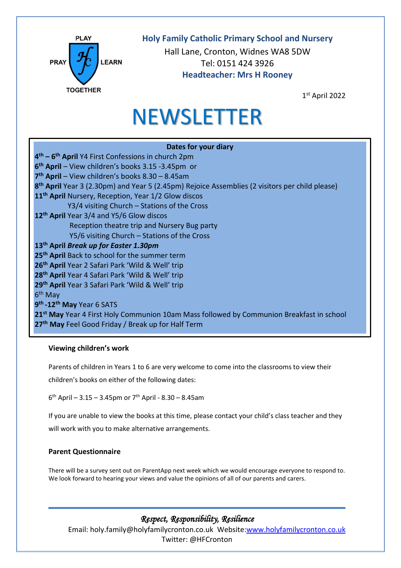

# **Holy Family Catholic Primary School and Nursery**

Hall Lane, Cronton, Widnes WA8 5DW Tel: 0151 424 3926 **Headteacher: Mrs H Rooney**

1 st April 2022

# NEWSLETTER

# **Dates for your diary 4 th – 6 th April** Y4 First Confessions in church 2pm **6 th April** – View children's books 3.15 -3.45pm or **7 th April** – View children's books 8.30 – 8.45am **8 th April** Year 3 (2.30pm) and Year 5 (2.45pm) Rejoice Assemblies (2 visitors per child please) **11th April** Nursery, Reception, Year 1/2 Glow discos Y3/4 visiting Church – Stations of the Cross **12th April** Year 3/4 and Y5/6 Glow discos Reception theatre trip and Nursery Bug party Y5/6 visiting Church – Stations of the Cross **13th April** *Break up for Easter 1.30pm* **25th April** Back to school for the summer term **26th April** Year 2 Safari Park 'Wild & Well' trip **28th April** Year 4 Safari Park 'Wild & Well' trip **29th April** Year 3 Safari Park 'Wild & Well' trip 6<sup>th</sup> May **9 th -12th May** Year 6 SATS **21st May** Year 4 First Holy Communion 10am Mass followed by Communion Breakfast in school **27th May** Feel Good Friday / Break up for Half Term

## **Viewing children's work**

Parents of children in Years 1 to 6 are very welcome to come into the classrooms to view their

children's books on either of the following dates:

 $6<sup>th</sup>$  April – 3.15 – 3.45pm or 7<sup>th</sup> April - 8.30 – 8.45am

If you are unable to view the books at this time, please contact your child's class teacher and they will work with you to make alternative arrangements.

## **Parent Questionnaire**

There will be a survey sent out on ParentApp next week which we would encourage everyone to respond to. We look forward to hearing your views and value the opinions of all of our parents and carers.

# *Respect, Responsibility, Resilience*

Email: [holy.family@holyfamilycronton.co.uk](mailto:holy.family@holyfamilycronton.co.uk) Website[:www.holyfamilycronton.co.uk](http://www.holyfamilycronton.co.uk/) Twitter: @HFCronton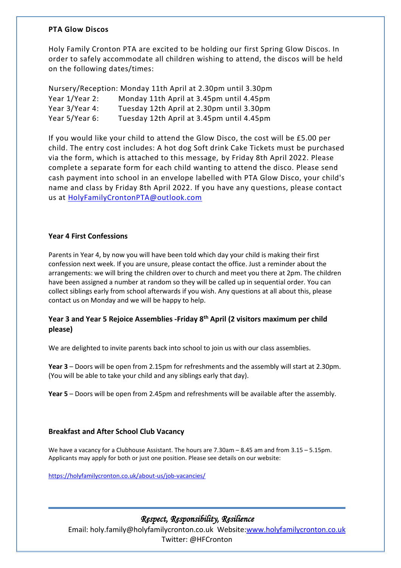#### **PTA Glow Discos**

Holy Family Cronton PTA are excited to be holding our first Spring Glow Discos. In order to safely accommodate all children wishing to attend, the discos will be held on the following dates/times:

|                | Nursery/Reception: Monday 11th April at 2.30pm until 3.30pm |
|----------------|-------------------------------------------------------------|
| Year 1/Year 2: | Monday 11th April at 3.45pm until 4.45pm                    |
| Year 3/Year 4: | Tuesday 12th April at 2.30pm until 3.30pm                   |
| Year 5/Year 6: | Tuesday 12th April at 3.45pm until 4.45pm                   |

If you would like your child to attend the Glow Disco, the cost will be £5.00 per child. The entry cost includes: A hot dog Soft drink Cake Tickets must be purchased via the form, which is attached to this message, by Friday 8th April 2022. Please complete a separate form for each child wanting to attend the disco. Please send cash payment into school in an envelope labelled with PTA Glow Disco, your child's name and class by Friday 8th April 2022. If you have any questions, please contact us at [HolyFamilyCrontonPTA@outlook.com](mailto:HolyFamilyCrontonPTA@outlook.com)

#### **Year 4 First Confessions**

Parents in Year 4, by now you will have been told which day your child is making their first confession next week. If you are unsure, please contact the office. Just a reminder about the arrangements: we will bring the children over to church and meet you there at 2pm. The children have been assigned a number at random so they will be called up in sequential order. You can collect siblings early from school afterwards if you wish. Any questions at all about this, please contact us on Monday and we will be happy to help.

#### **Year 3 and Year 5 Rejoice Assemblies -Friday 8th April (2 visitors maximum per child please)**

We are delighted to invite parents back into school to join us with our class assemblies.

**Year 3** – Doors will be open from 2.15pm for refreshments and the assembly will start at 2.30pm. (You will be able to take your child and any siblings early that day).

**Year 5** – Doors will be open from 2.45pm and refreshments will be available after the assembly.

## **Breakfast and After School Club Vacancy**

We have a vacancy for a Clubhouse Assistant. The hours are 7.30am – 8.45 am and from 3.15 – 5.15pm. Applicants may apply for both or just one position. Please see details on our website:

<https://holyfamilycronton.co.uk/about-us/job-vacancies/>

# *Respect, Responsibility, Resilience*

Email: [holy.family@holyfamilycronton.co.uk](mailto:holy.family@holyfamilycronton.co.uk) Website[:www.holyfamilycronton.co.uk](http://www.holyfamilycronton.co.uk/) Twitter: @HFCronton